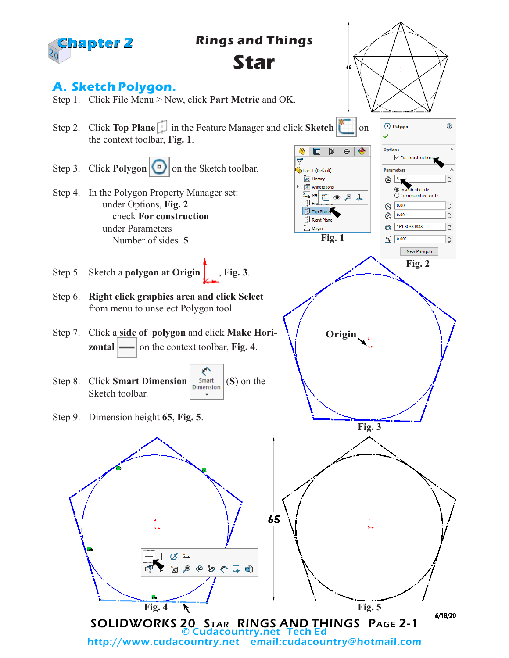

email:cudacountry@hotmail.com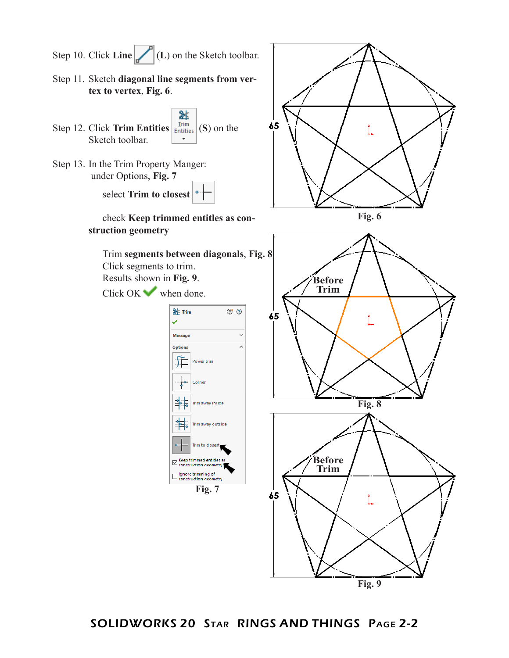

SOLIDWORKS 20 Star RINGS AND THINGS Page 2-2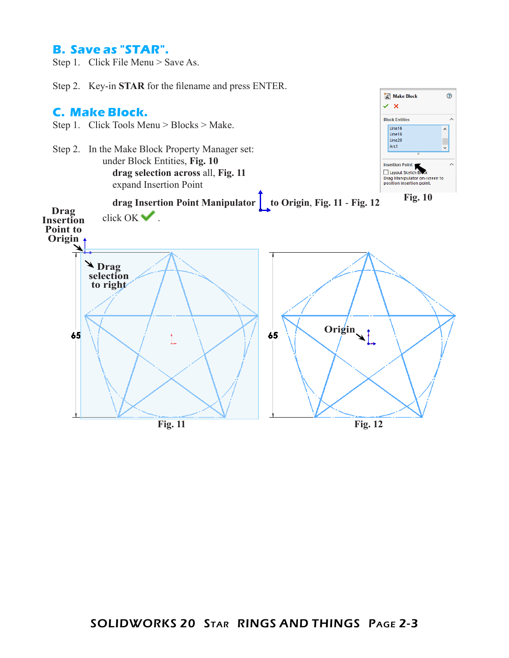## **B. Save as "STAR".**

Step 1. Click File Menu > Save As.

Step 2. Key-in **STAR** for the filename and press ENTER.